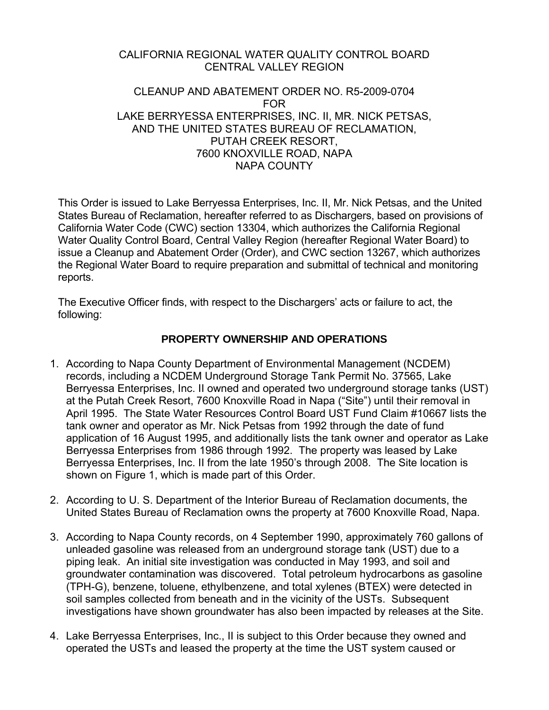#### CALIFORNIA REGIONAL WATER QUALITY CONTROL BOARD CENTRAL VALLEY REGION

#### CLEANUP AND ABATEMENT ORDER NO. R5-2009-0704 FOR LAKE BERRYESSA ENTERPRISES, INC. II, MR. NICK PETSAS, AND THE UNITED STATES BUREAU OF RECLAMATION, PUTAH CREEK RESORT, 7600 KNOXVILLE ROAD, NAPA NAPA COUNTY

This Order is issued to Lake Berryessa Enterprises, Inc. II, Mr. Nick Petsas, and the United States Bureau of Reclamation, hereafter referred to as Dischargers, based on provisions of California Water Code (CWC) section 13304, which authorizes the California Regional Water Quality Control Board, Central Valley Region (hereafter Regional Water Board) to issue a Cleanup and Abatement Order (Order), and CWC section 13267, which authorizes the Regional Water Board to require preparation and submittal of technical and monitoring reports.

The Executive Officer finds, with respect to the Dischargers' acts or failure to act, the following:

## **PROPERTY OWNERSHIP AND OPERATIONS**

- 1. According to Napa County Department of Environmental Management (NCDEM) records, including a NCDEM Underground Storage Tank Permit No. 37565, Lake Berryessa Enterprises, Inc. II owned and operated two underground storage tanks (UST) at the Putah Creek Resort, 7600 Knoxville Road in Napa ("Site") until their removal in April 1995. The State Water Resources Control Board UST Fund Claim #10667 lists the tank owner and operator as Mr. Nick Petsas from 1992 through the date of fund application of 16 August 1995, and additionally lists the tank owner and operator as Lake Berryessa Enterprises from 1986 through 1992. The property was leased by Lake Berryessa Enterprises, Inc. II from the late 1950's through 2008. The Site location is shown on Figure 1, which is made part of this Order.
- 2. According to U. S. Department of the Interior Bureau of Reclamation documents, the United States Bureau of Reclamation owns the property at 7600 Knoxville Road, Napa.
- 3. According to Napa County records, on 4 September 1990, approximately 760 gallons of unleaded gasoline was released from an underground storage tank (UST) due to a piping leak. An initial site investigation was conducted in May 1993, and soil and groundwater contamination was discovered. Total petroleum hydrocarbons as gasoline (TPH-G), benzene, toluene, ethylbenzene, and total xylenes (BTEX) were detected in soil samples collected from beneath and in the vicinity of the USTs. Subsequent investigations have shown groundwater has also been impacted by releases at the Site.
- 4. Lake Berryessa Enterprises, Inc., II is subject to this Order because they owned and operated the USTs and leased the property at the time the UST system caused or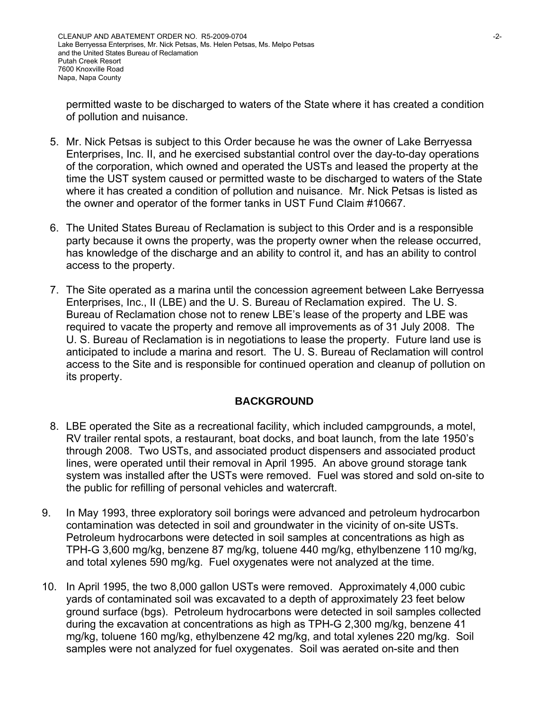permitted waste to be discharged to waters of the State where it has created a condition of pollution and nuisance.

- 5. Mr. Nick Petsas is subject to this Order because he was the owner of Lake Berryessa Enterprises, Inc. II, and he exercised substantial control over the day-to-day operations of the corporation, which owned and operated the USTs and leased the property at the time the UST system caused or permitted waste to be discharged to waters of the State where it has created a condition of pollution and nuisance. Mr. Nick Petsas is listed as the owner and operator of the former tanks in UST Fund Claim #10667.
- 6. The United States Bureau of Reclamation is subject to this Order and is a responsible party because it owns the property, was the property owner when the release occurred, has knowledge of the discharge and an ability to control it, and has an ability to control access to the property.
- 7. The Site operated as a marina until the concession agreement between Lake Berryessa Enterprises, Inc., II (LBE) and the U. S. Bureau of Reclamation expired. The U. S. Bureau of Reclamation chose not to renew LBE's lease of the property and LBE was required to vacate the property and remove all improvements as of 31 July 2008. The U. S. Bureau of Reclamation is in negotiations to lease the property. Future land use is anticipated to include a marina and resort. The U. S. Bureau of Reclamation will control access to the Site and is responsible for continued operation and cleanup of pollution on its property.

### **BACKGROUND**

- 8. LBE operated the Site as a recreational facility, which included campgrounds, a motel, RV trailer rental spots, a restaurant, boat docks, and boat launch, from the late 1950's through 2008. Two USTs, and associated product dispensers and associated product lines, were operated until their removal in April 1995. An above ground storage tank system was installed after the USTs were removed. Fuel was stored and sold on-site to the public for refilling of personal vehicles and watercraft.
- 9. In May 1993, three exploratory soil borings were advanced and petroleum hydrocarbon contamination was detected in soil and groundwater in the vicinity of on-site USTs. Petroleum hydrocarbons were detected in soil samples at concentrations as high as TPH-G 3,600 mg/kg, benzene 87 mg/kg, toluene 440 mg/kg, ethylbenzene 110 mg/kg, and total xylenes 590 mg/kg. Fuel oxygenates were not analyzed at the time.
- 10. In April 1995, the two 8,000 gallon USTs were removed. Approximately 4,000 cubic yards of contaminated soil was excavated to a depth of approximately 23 feet below ground surface (bgs). Petroleum hydrocarbons were detected in soil samples collected during the excavation at concentrations as high as TPH-G 2,300 mg/kg, benzene 41 mg/kg, toluene 160 mg/kg, ethylbenzene 42 mg/kg, and total xylenes 220 mg/kg. Soil samples were not analyzed for fuel oxygenates. Soil was aerated on-site and then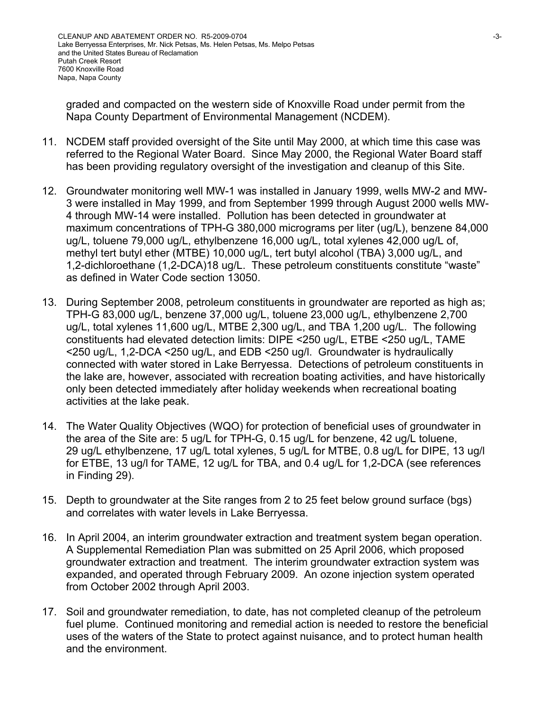graded and compacted on the western side of Knoxville Road under permit from the Napa County Department of Environmental Management (NCDEM).

- 11. NCDEM staff provided oversight of the Site until May 2000, at which time this case was referred to the Regional Water Board. Since May 2000, the Regional Water Board staff has been providing regulatory oversight of the investigation and cleanup of this Site.
- 12. Groundwater monitoring well MW-1 was installed in January 1999, wells MW-2 and MW-3 were installed in May 1999, and from September 1999 through August 2000 wells MW-4 through MW-14 were installed. Pollution has been detected in groundwater at maximum concentrations of TPH-G 380,000 micrograms per liter (ug/L), benzene 84,000 ug/L, toluene 79,000 ug/L, ethylbenzene 16,000 ug/L, total xylenes 42,000 ug/L of, methyl tert butyl ether (MTBE) 10,000 ug/L, tert butyl alcohol (TBA) 3,000 ug/L, and 1,2-dichloroethane (1,2-DCA)18 ug/L. These petroleum constituents constitute "waste" as defined in Water Code section 13050.
- 13. During September 2008, petroleum constituents in groundwater are reported as high as; TPH-G 83,000 ug/L, benzene 37,000 ug/L, toluene 23,000 ug/L, ethylbenzene 2,700 ug/L, total xylenes 11,600 ug/L, MTBE 2,300 ug/L, and TBA 1,200 ug/L. The following constituents had elevated detection limits: DIPE <250 ug/L, ETBE <250 ug/L, TAME <250 ug/L, 1,2-DCA <250 ug/L, and EDB <250 ug/l. Groundwater is hydraulically connected with water stored in Lake Berryessa. Detections of petroleum constituents in the lake are, however, associated with recreation boating activities, and have historically only been detected immediately after holiday weekends when recreational boating activities at the lake peak.
- 14. The Water Quality Objectives (WQO) for protection of beneficial uses of groundwater in the area of the Site are: 5 ug/L for TPH-G, 0.15 ug/L for benzene, 42 ug/L toluene, 29 ug/L ethylbenzene, 17 ug/L total xylenes, 5 ug/L for MTBE, 0.8 ug/L for DIPE, 13 ug/l for ETBE, 13 ug/l for TAME, 12 ug/L for TBA, and 0.4 ug/L for 1,2-DCA (see references in Finding 29).
- 15. Depth to groundwater at the Site ranges from 2 to 25 feet below ground surface (bgs) and correlates with water levels in Lake Berryessa.
- 16. In April 2004, an interim groundwater extraction and treatment system began operation. A Supplemental Remediation Plan was submitted on 25 April 2006, which proposed groundwater extraction and treatment. The interim groundwater extraction system was expanded, and operated through February 2009. An ozone injection system operated from October 2002 through April 2003.
- 17. Soil and groundwater remediation, to date, has not completed cleanup of the petroleum fuel plume. Continued monitoring and remedial action is needed to restore the beneficial uses of the waters of the State to protect against nuisance, and to protect human health and the environment.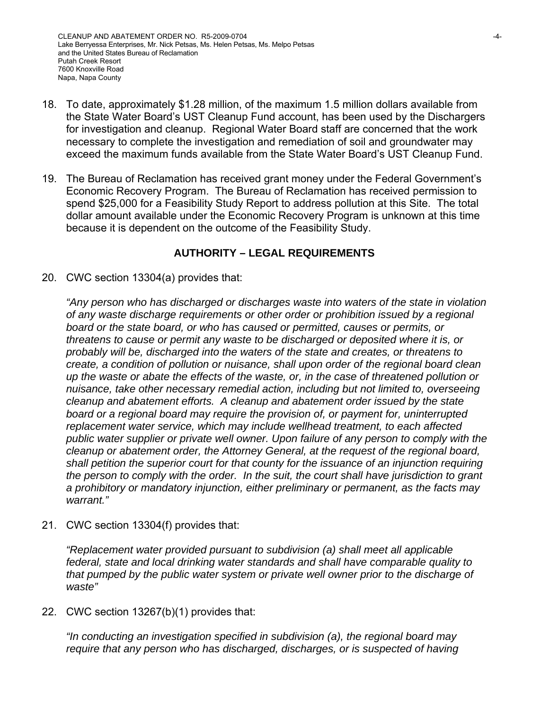- 18. To date, approximately \$1.28 million, of the maximum 1.5 million dollars available from the State Water Board's UST Cleanup Fund account, has been used by the Dischargers for investigation and cleanup. Regional Water Board staff are concerned that the work necessary to complete the investigation and remediation of soil and groundwater may exceed the maximum funds available from the State Water Board's UST Cleanup Fund.
- 19. The Bureau of Reclamation has received grant money under the Federal Government's Economic Recovery Program. The Bureau of Reclamation has received permission to spend \$25,000 for a Feasibility Study Report to address pollution at this Site. The total dollar amount available under the Economic Recovery Program is unknown at this time because it is dependent on the outcome of the Feasibility Study.

## **AUTHORITY – LEGAL REQUIREMENTS**

20. CWC section 13304(a) provides that:

*"Any person who has discharged or discharges waste into waters of the state in violation of any waste discharge requirements or other order or prohibition issued by a regional board or the state board, or who has caused or permitted, causes or permits, or threatens to cause or permit any waste to be discharged or deposited where it is, or probably will be, discharged into the waters of the state and creates, or threatens to create, a condition of pollution or nuisance, shall upon order of the regional board clean up the waste or abate the effects of the waste, or, in the case of threatened pollution or nuisance, take other necessary remedial action, including but not limited to, overseeing cleanup and abatement efforts. A cleanup and abatement order issued by the state board or a regional board may require the provision of, or payment for, uninterrupted replacement water service, which may include wellhead treatment, to each affected public water supplier or private well owner. Upon failure of any person to comply with the cleanup or abatement order, the Attorney General, at the request of the regional board, shall petition the superior court for that county for the issuance of an injunction requiring the person to comply with the order. In the suit, the court shall have jurisdiction to grant a prohibitory or mandatory injunction, either preliminary or permanent, as the facts may warrant."* 

21. CWC section 13304(f) provides that:

*"Replacement water provided pursuant to subdivision (a) shall meet all applicable federal, state and local drinking water standards and shall have comparable quality to that pumped by the public water system or private well owner prior to the discharge of waste"* 

22. CWC section 13267(b)(1) provides that:

*"In conducting an investigation specified in subdivision (a), the regional board may require that any person who has discharged, discharges, or is suspected of having*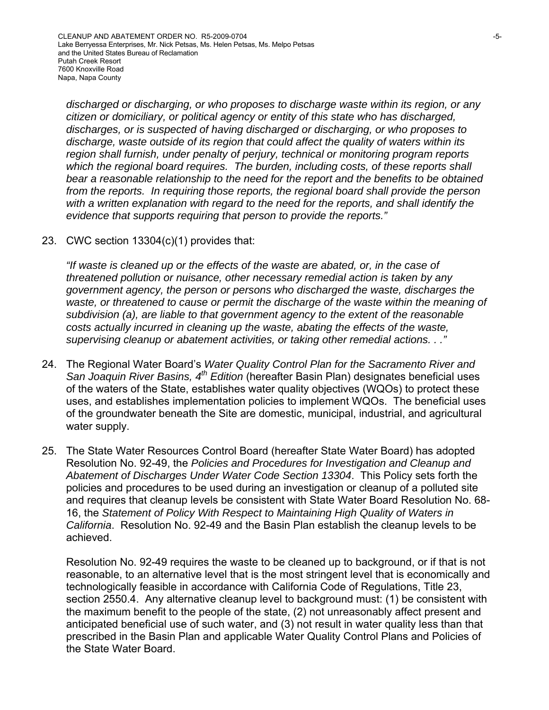*discharged or discharging, or who proposes to discharge waste within its region, or any citizen or domiciliary, or political agency or entity of this state who has discharged, discharges, or is suspected of having discharged or discharging, or who proposes to discharge, waste outside of its region that could affect the quality of waters within its region shall furnish, under penalty of perjury, technical or monitoring program reports which the regional board requires. The burden, including costs, of these reports shall bear a reasonable relationship to the need for the report and the benefits to be obtained from the reports. In requiring those reports, the regional board shall provide the person with a written explanation with regard to the need for the reports, and shall identify the evidence that supports requiring that person to provide the reports."* 

23. CWC section 13304(c)(1) provides that:

*"If waste is cleaned up or the effects of the waste are abated, or, in the case of threatened pollution or nuisance, other necessary remedial action is taken by any government agency, the person or persons who discharged the waste, discharges the waste, or threatened to cause or permit the discharge of the waste within the meaning of subdivision (a), are liable to that government agency to the extent of the reasonable costs actually incurred in cleaning up the waste, abating the effects of the waste, supervising cleanup or abatement activities, or taking other remedial actions. . ."* 

- 24. The Regional Water Board's *Water Quality Control Plan for the Sacramento River and San Joaquin River Basins, 4th Edition* (hereafter Basin Plan) designates beneficial uses of the waters of the State, establishes water quality objectives (WQOs) to protect these uses, and establishes implementation policies to implement WQOs. The beneficial uses of the groundwater beneath the Site are domestic, municipal, industrial, and agricultural water supply.
- 25. The State Water Resources Control Board (hereafter State Water Board) has adopted Resolution No. 92-49, the *Policies and Procedures for Investigation and Cleanup and Abatement of Discharges Under Water Code Section 13304*. This Policy sets forth the policies and procedures to be used during an investigation or cleanup of a polluted site and requires that cleanup levels be consistent with State Water Board Resolution No. 68- 16, the *Statement of Policy With Respect to Maintaining High Quality of Waters in California*. Resolution No. 92-49 and the Basin Plan establish the cleanup levels to be achieved.

Resolution No. 92-49 requires the waste to be cleaned up to background, or if that is not reasonable, to an alternative level that is the most stringent level that is economically and technologically feasible in accordance with California Code of Regulations, Title 23, section 2550.4. Any alternative cleanup level to background must: (1) be consistent with the maximum benefit to the people of the state, (2) not unreasonably affect present and anticipated beneficial use of such water, and (3) not result in water quality less than that prescribed in the Basin Plan and applicable Water Quality Control Plans and Policies of the State Water Board.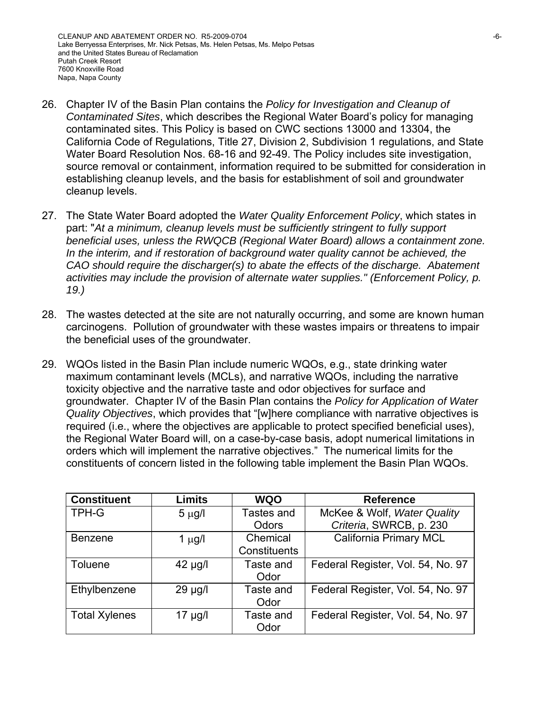- 26. Chapter IV of the Basin Plan contains the *Policy for Investigation and Cleanup of Contaminated Sites*, which describes the Regional Water Board's policy for managing contaminated sites. This Policy is based on CWC sections 13000 and 13304, the California Code of Regulations, Title 27, Division 2, Subdivision 1 regulations, and State Water Board Resolution Nos. 68-16 and 92-49. The Policy includes site investigation, source removal or containment, information required to be submitted for consideration in establishing cleanup levels, and the basis for establishment of soil and groundwater cleanup levels.
- 27. The State Water Board adopted the *Water Quality Enforcement Policy*, which states in part: "*At a minimum, cleanup levels must be sufficiently stringent to fully support beneficial uses, unless the RWQCB (Regional Water Board) allows a containment zone. In the interim, and if restoration of background water quality cannot be achieved, the CAO should require the discharger(s) to abate the effects of the discharge. Abatement activities may include the provision of alternate water supplies." (Enforcement Policy, p. 19.)*
- 28. The wastes detected at the site are not naturally occurring, and some are known human carcinogens. Pollution of groundwater with these wastes impairs or threatens to impair the beneficial uses of the groundwater.
- 29. WQOs listed in the Basin Plan include numeric WQOs, e.g., state drinking water maximum contaminant levels (MCLs), and narrative WQOs, including the narrative toxicity objective and the narrative taste and odor objectives for surface and groundwater. Chapter IV of the Basin Plan contains the *Policy for Application of Water Quality Objectives*, which provides that "[w]here compliance with narrative objectives is required (i.e., where the objectives are applicable to protect specified beneficial uses), the Regional Water Board will, on a case-by-case basis, adopt numerical limitations in orders which will implement the narrative objectives." The numerical limits for the constituents of concern listed in the following table implement the Basin Plan WQOs.

| <b>Constituent</b>   | <b>Limits</b> | <b>WQO</b>   | <b>Reference</b>                  |
|----------------------|---------------|--------------|-----------------------------------|
| <b>TPH-G</b>         | $5 \mu g/l$   | Tastes and   | McKee & Wolf, Water Quality       |
|                      |               | Odors        | Criteria, SWRCB, p. 230           |
| <b>Benzene</b>       | 1 $\mu$ g/l   | Chemical     | <b>California Primary MCL</b>     |
|                      |               | Constituents |                                   |
| Toluene              | $42 \mu g/l$  | Taste and    | Federal Register, Vol. 54, No. 97 |
|                      |               | Odor         |                                   |
| Ethylbenzene         | $29 \mu g/l$  | Taste and    | Federal Register, Vol. 54, No. 97 |
|                      |               | Odor         |                                   |
| <b>Total Xylenes</b> | 17 µg/l       | Taste and    | Federal Register, Vol. 54, No. 97 |
|                      |               | Odor         |                                   |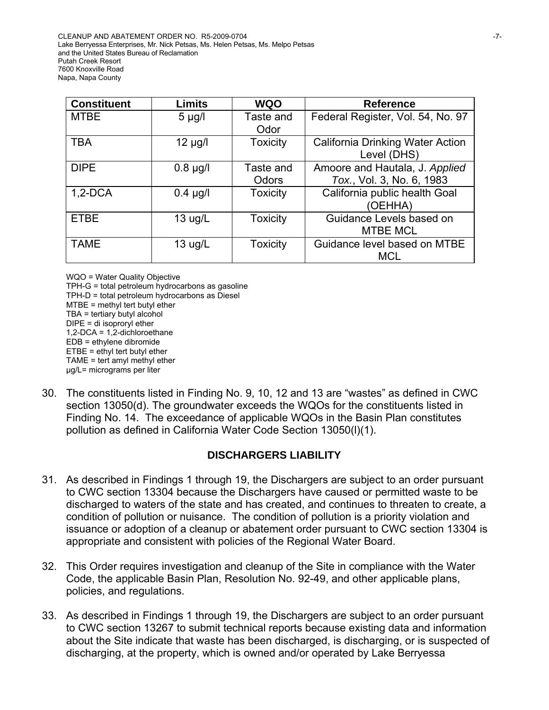| <b>Constituent</b> | <b>Limits</b>     | <b>WQO</b>         | <b>Reference</b>                                            |
|--------------------|-------------------|--------------------|-------------------------------------------------------------|
| <b>MTBE</b>        | $5 \mu g/l$       | Taste and<br>Odor  | Federal Register, Vol. 54, No. 97                           |
| <b>TBA</b>         | $12 \mu g/l$      | <b>Toxicity</b>    | <b>California Drinking Water Action</b><br>Level (DHS)      |
| <b>DIPE</b>        | $0.8 \mu g/l$     | Taste and<br>Odors | Amoore and Hautala, J. Applied<br>Tox., Vol. 3, No. 6, 1983 |
| $1,2-DCA$          | $0.4$ µg/l        | <b>Toxicity</b>    | California public health Goal<br>(OEHHA)                    |
| <b>ETBE</b>        | 13 $\mu$ g/L      | <b>Toxicity</b>    | Guidance Levels based on<br><b>MTBE MCL</b>                 |
| <b>TAME</b>        | $13 \text{ ug/L}$ | <b>Toxicity</b>    | Guidance level based on MTBE<br><b>MCL</b>                  |

WQO = Water Quality Objective TPH-G = total petroleum hydrocarbons as gasoline TPH-D = total petroleum hydrocarbons as Diesel MTBE = methyl tert butyl ether TBA = tertiary butyl alcohol DIPE = di isoproryl ether 1,2-DCA = 1,2-dichloroethane EDB = ethylene dibromide ETBE = ethyl tert butyl ether TAME = tert amyl methyl ether μg/L= micrograms per liter

30. The constituents listed in Finding No. 9, 10, 12 and 13 are "wastes" as defined in CWC section 13050(d). The groundwater exceeds the WQOs for the constituents listed in Finding No. 14. The exceedance of applicable WQOs in the Basin Plan constitutes pollution as defined in California Water Code Section 13050(l)(1).

### **DISCHARGERS LIABILITY**

- 31. As described in Findings 1 through 19, the Dischargers are subject to an order pursuant to CWC section 13304 because the Dischargers have caused or permitted waste to be discharged to waters of the state and has created, and continues to threaten to create, a condition of pollution or nuisance. The condition of pollution is a priority violation and issuance or adoption of a cleanup or abatement order pursuant to CWC section 13304 is appropriate and consistent with policies of the Regional Water Board.
- 32. This Order requires investigation and cleanup of the Site in compliance with the Water Code, the applicable Basin Plan, Resolution No. 92-49, and other applicable plans, policies, and regulations.
- 33. As described in Findings 1 through 19, the Dischargers are subject to an order pursuant to CWC section 13267 to submit technical reports because existing data and information about the Site indicate that waste has been discharged, is discharging, or is suspected of discharging, at the property, which is owned and/or operated by Lake Berryessa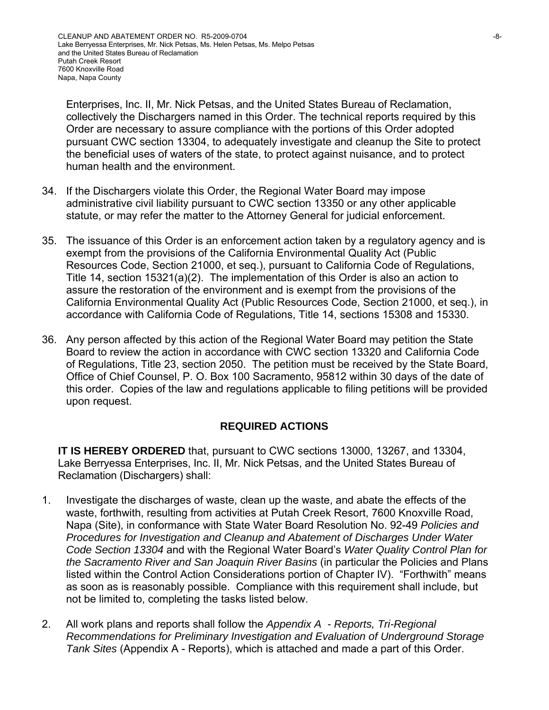Enterprises, Inc. II, Mr. Nick Petsas, and the United States Bureau of Reclamation, collectively the Dischargers named in this Order. The technical reports required by this Order are necessary to assure compliance with the portions of this Order adopted pursuant CWC section 13304, to adequately investigate and cleanup the Site to protect the beneficial uses of waters of the state, to protect against nuisance, and to protect human health and the environment.

- 34. If the Dischargers violate this Order, the Regional Water Board may impose administrative civil liability pursuant to CWC section 13350 or any other applicable statute, or may refer the matter to the Attorney General for judicial enforcement.
- 35. The issuance of this Order is an enforcement action taken by a regulatory agency and is exempt from the provisions of the California Environmental Quality Act (Public Resources Code, Section 21000, et seq.), pursuant to California Code of Regulations, Title 14, section 15321(a)(2). The implementation of this Order is also an action to assure the restoration of the environment and is exempt from the provisions of the California Environmental Quality Act (Public Resources Code, Section 21000, et seq.), in accordance with California Code of Regulations, Title 14, sections 15308 and 15330.
- 36. Any person affected by this action of the Regional Water Board may petition the State Board to review the action in accordance with CWC section 13320 and California Code of Regulations, Title 23, section 2050. The petition must be received by the State Board, Office of Chief Counsel, P. O. Box 100 Sacramento, 95812 within 30 days of the date of this order. Copies of the law and regulations applicable to filing petitions will be provided upon request.

### **REQUIRED ACTIONS**

**IT IS HEREBY ORDERED** that, pursuant to CWC sections 13000, 13267, and 13304, Lake Berryessa Enterprises, Inc. II, Mr. Nick Petsas, and the United States Bureau of Reclamation (Dischargers) shall:

- 1. Investigate the discharges of waste, clean up the waste, and abate the effects of the waste, forthwith, resulting from activities at Putah Creek Resort, 7600 Knoxville Road, Napa (Site), in conformance with State Water Board Resolution No. 92-49 *Policies and Procedures for Investigation and Cleanup and Abatement of Discharges Under Water Code Section 13304* and with the Regional Water Board's *Water Quality Control Plan for the Sacramento River and San Joaquin River Basins* (in particular the Policies and Plans listed within the Control Action Considerations portion of Chapter IV). "Forthwith" means as soon as is reasonably possible. Compliance with this requirement shall include, but not be limited to, completing the tasks listed below.
- 2. All work plans and reports shall follow the *Appendix A Reports, Tri-Regional Recommendations for Preliminary Investigation and Evaluation of Underground Storage Tank Sites* (Appendix A - Reports), which is attached and made a part of this Order.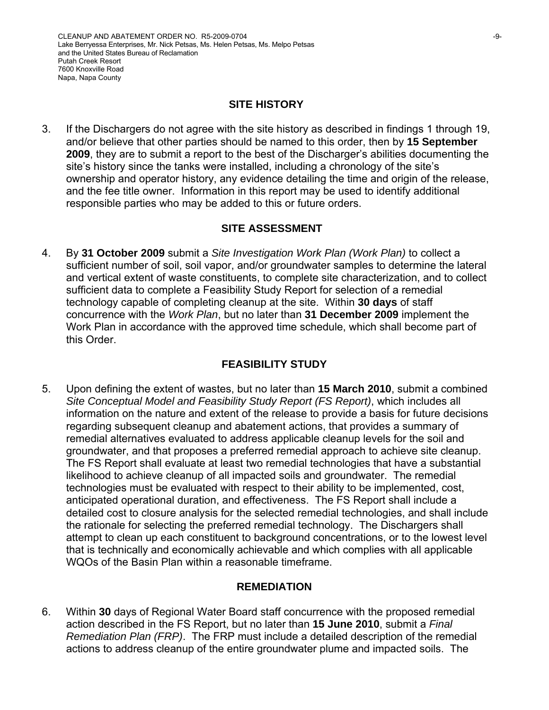#### **SITE HISTORY**

3. If the Dischargers do not agree with the site history as described in findings 1 through 19, and/or believe that other parties should be named to this order, then by **15 September 2009**, they are to submit a report to the best of the Discharger's abilities documenting the site's history since the tanks were installed, including a chronology of the site's ownership and operator history, any evidence detailing the time and origin of the release, and the fee title owner. Information in this report may be used to identify additional responsible parties who may be added to this or future orders.

### **SITE ASSESSMENT**

4. By **31 October 2009** submit a *Site Investigation Work Plan (Work Plan)* to collect a sufficient number of soil, soil vapor, and/or groundwater samples to determine the lateral and vertical extent of waste constituents, to complete site characterization, and to collect sufficient data to complete a Feasibility Study Report for selection of a remedial technology capable of completing cleanup at the site. Within **30 days** of staff concurrence with the *Work Plan*, but no later than **31 December 2009** implement the Work Plan in accordance with the approved time schedule, which shall become part of this Order.

# **FEASIBILITY STUDY**

5. Upon defining the extent of wastes, but no later than **15 March 2010**, submit a combined *Site Conceptual Model and Feasibility Study Report (FS Report)*, which includes all information on the nature and extent of the release to provide a basis for future decisions regarding subsequent cleanup and abatement actions, that provides a summary of remedial alternatives evaluated to address applicable cleanup levels for the soil and groundwater, and that proposes a preferred remedial approach to achieve site cleanup. The FS Report shall evaluate at least two remedial technologies that have a substantial likelihood to achieve cleanup of all impacted soils and groundwater. The remedial technologies must be evaluated with respect to their ability to be implemented, cost, anticipated operational duration, and effectiveness. The FS Report shall include a detailed cost to closure analysis for the selected remedial technologies, and shall include the rationale for selecting the preferred remedial technology. The Dischargers shall attempt to clean up each constituent to background concentrations, or to the lowest level that is technically and economically achievable and which complies with all applicable WQOs of the Basin Plan within a reasonable timeframe.

### **REMEDIATION**

6. Within **30** days of Regional Water Board staff concurrence with the proposed remedial action described in the FS Report, but no later than **15 June 2010**, submit a *Final Remediation Plan (FRP)*. The FRP must include a detailed description of the remedial actions to address cleanup of the entire groundwater plume and impacted soils. The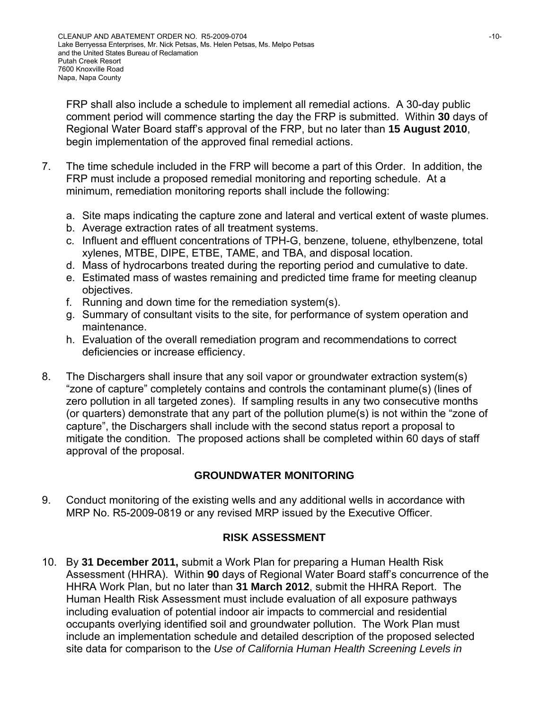FRP shall also include a schedule to implement all remedial actions. A 30-day public comment period will commence starting the day the FRP is submitted. Within **30** days of Regional Water Board staff's approval of the FRP, but no later than **15 August 2010**, begin implementation of the approved final remedial actions.

- 7. The time schedule included in the FRP will become a part of this Order. In addition, the FRP must include a proposed remedial monitoring and reporting schedule. At a minimum, remediation monitoring reports shall include the following:
	- a. Site maps indicating the capture zone and lateral and vertical extent of waste plumes.
	- b. Average extraction rates of all treatment systems.
	- c. Influent and effluent concentrations of TPH-G, benzene, toluene, ethylbenzene, total xylenes, MTBE, DIPE, ETBE, TAME, and TBA, and disposal location.
	- d. Mass of hydrocarbons treated during the reporting period and cumulative to date.
	- e. Estimated mass of wastes remaining and predicted time frame for meeting cleanup objectives.
	- f. Running and down time for the remediation system(s).
	- g. Summary of consultant visits to the site, for performance of system operation and maintenance.
	- h. Evaluation of the overall remediation program and recommendations to correct deficiencies or increase efficiency.
- 8. The Dischargers shall insure that any soil vapor or groundwater extraction system(s) "zone of capture" completely contains and controls the contaminant plume(s) (lines of zero pollution in all targeted zones). If sampling results in any two consecutive months (or quarters) demonstrate that any part of the pollution plume(s) is not within the "zone of capture", the Dischargers shall include with the second status report a proposal to mitigate the condition. The proposed actions shall be completed within 60 days of staff approval of the proposal.

# **GROUNDWATER MONITORING**

9. Conduct monitoring of the existing wells and any additional wells in accordance with MRP No. R5-2009-0819 or any revised MRP issued by the Executive Officer.

# **RISK ASSESSMENT**

10. By **31 December 2011,** submit a Work Plan for preparing a Human Health Risk Assessment (HHRA). Within **90** days of Regional Water Board staff's concurrence of the HHRA Work Plan, but no later than **31 March 2012**, submit the HHRA Report. The Human Health Risk Assessment must include evaluation of all exposure pathways including evaluation of potential indoor air impacts to commercial and residential occupants overlying identified soil and groundwater pollution. The Work Plan must include an implementation schedule and detailed description of the proposed selected site data for comparison to the *Use of California Human Health Screening Levels in*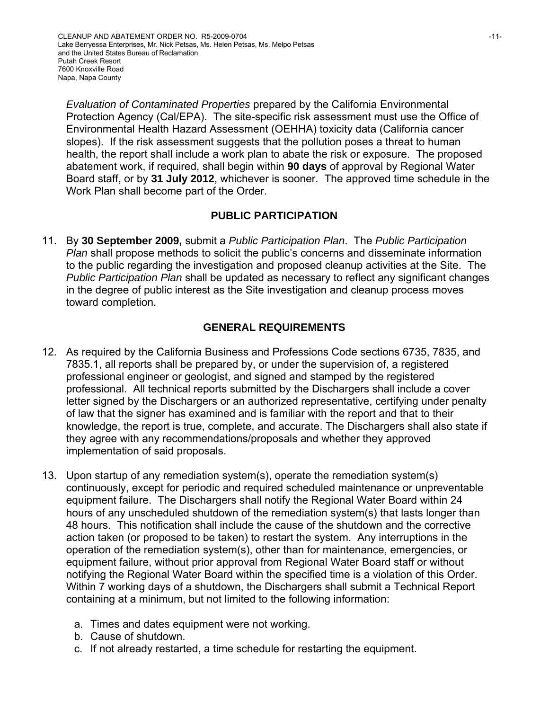*Evaluation of Contaminated Properties* prepared by the California Environmental Protection Agency (Cal/EPA). The site-specific risk assessment must use the Office of Environmental Health Hazard Assessment (OEHHA) toxicity data (California cancer slopes). If the risk assessment suggests that the pollution poses a threat to human health, the report shall include a work plan to abate the risk or exposure. The proposed abatement work, if required, shall begin within **90 days** of approval by Regional Water Board staff, or by **31 July 2012**, whichever is sooner. The approved time schedule in the Work Plan shall become part of the Order.

# **PUBLIC PARTICIPATION**

11. By **30 September 2009,** submit a *Public Participation Plan*. The *Public Participation Plan* shall propose methods to solicit the public's concerns and disseminate information to the public regarding the investigation and proposed cleanup activities at the Site. The *Public Participation Plan* shall be updated as necessary to reflect any significant changes in the degree of public interest as the Site investigation and cleanup process moves toward completion.

# **GENERAL REQUIREMENTS**

- 12. As required by the California Business and Professions Code sections 6735, 7835, and 7835.1, all reports shall be prepared by, or under the supervision of, a registered professional engineer or geologist, and signed and stamped by the registered professional. All technical reports submitted by the Dischargers shall include a cover letter signed by the Dischargers or an authorized representative, certifying under penalty of law that the signer has examined and is familiar with the report and that to their knowledge, the report is true, complete, and accurate. The Dischargers shall also state if they agree with any recommendations/proposals and whether they approved implementation of said proposals.
- 13. Upon startup of any remediation system(s), operate the remediation system(s) continuously, except for periodic and required scheduled maintenance or unpreventable equipment failure. The Dischargers shall notify the Regional Water Board within 24 hours of any unscheduled shutdown of the remediation system(s) that lasts longer than 48 hours. This notification shall include the cause of the shutdown and the corrective action taken (or proposed to be taken) to restart the system. Any interruptions in the operation of the remediation system(s), other than for maintenance, emergencies, or equipment failure, without prior approval from Regional Water Board staff or without notifying the Regional Water Board within the specified time is a violation of this Order. Within 7 working days of a shutdown, the Dischargers shall submit a Technical Report containing at a minimum, but not limited to the following information:
	- a. Times and dates equipment were not working.
	- b. Cause of shutdown.
	- c. If not already restarted, a time schedule for restarting the equipment.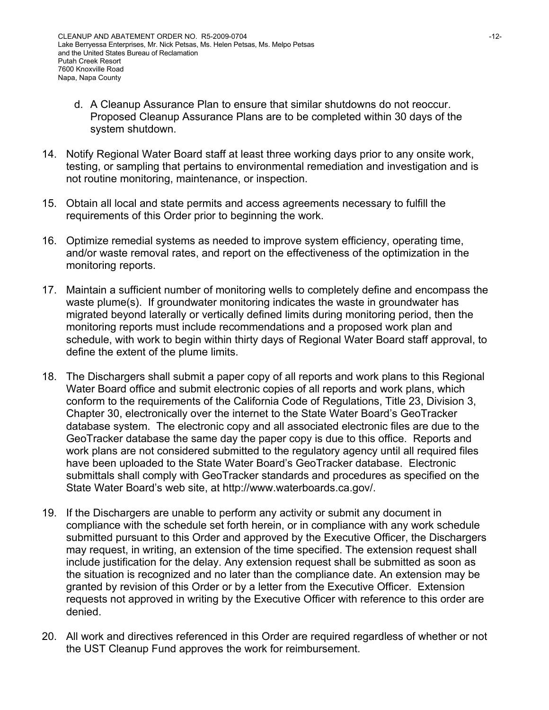- d. A Cleanup Assurance Plan to ensure that similar shutdowns do not reoccur. Proposed Cleanup Assurance Plans are to be completed within 30 days of the system shutdown.
- 14. Notify Regional Water Board staff at least three working days prior to any onsite work, testing, or sampling that pertains to environmental remediation and investigation and is not routine monitoring, maintenance, or inspection.
- 15. Obtain all local and state permits and access agreements necessary to fulfill the requirements of this Order prior to beginning the work.
- 16. Optimize remedial systems as needed to improve system efficiency, operating time, and/or waste removal rates, and report on the effectiveness of the optimization in the monitoring reports.
- 17. Maintain a sufficient number of monitoring wells to completely define and encompass the waste plume(s). If groundwater monitoring indicates the waste in groundwater has migrated beyond laterally or vertically defined limits during monitoring period, then the monitoring reports must include recommendations and a proposed work plan and schedule, with work to begin within thirty days of Regional Water Board staff approval, to define the extent of the plume limits.
- 18. The Dischargers shall submit a paper copy of all reports and work plans to this Regional Water Board office and submit electronic copies of all reports and work plans, which conform to the requirements of the California Code of Regulations, Title 23, Division 3, Chapter 30, electronically over the internet to the State Water Board's GeoTracker database system. The electronic copy and all associated electronic files are due to the GeoTracker database the same day the paper copy is due to this office. Reports and work plans are not considered submitted to the regulatory agency until all required files have been uploaded to the State Water Board's GeoTracker database. Electronic submittals shall comply with GeoTracker standards and procedures as specified on the State Water Board's web site, at http://www.waterboards.ca.gov/.
- 19. If the Dischargers are unable to perform any activity or submit any document in compliance with the schedule set forth herein, or in compliance with any work schedule submitted pursuant to this Order and approved by the Executive Officer, the Dischargers may request, in writing, an extension of the time specified. The extension request shall include justification for the delay. Any extension request shall be submitted as soon as the situation is recognized and no later than the compliance date. An extension may be granted by revision of this Order or by a letter from the Executive Officer. Extension requests not approved in writing by the Executive Officer with reference to this order are denied.
- 20. All work and directives referenced in this Order are required regardless of whether or not the UST Cleanup Fund approves the work for reimbursement.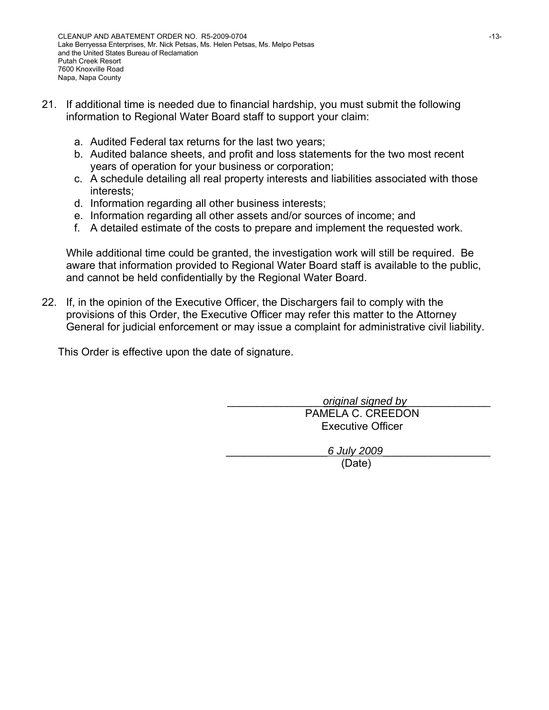- 21. If additional time is needed due to financial hardship, you must submit the following information to Regional Water Board staff to support your claim:
	- a. Audited Federal tax returns for the last two years;
	- b. Audited balance sheets, and profit and loss statements for the two most recent years of operation for your business or corporation;
	- c. A schedule detailing all real property interests and liabilities associated with those interests;
	- d. Information regarding all other business interests;
	- e. Information regarding all other assets and/or sources of income; and
	- f. A detailed estimate of the costs to prepare and implement the requested work.

While additional time could be granted, the investigation work will still be required. Be aware that information provided to Regional Water Board staff is available to the public, and cannot be held confidentially by the Regional Water Board.

22. If, in the opinion of the Executive Officer, the Dischargers fail to comply with the provisions of this Order, the Executive Officer may refer this matter to the Attorney General for judicial enforcement or may issue a complaint for administrative civil liability.

This Order is effective upon the date of signature.

\_\_\_\_\_\_\_\_\_\_\_\_\_\_\_\_*original signed by*\_\_\_\_\_\_\_\_\_\_\_\_\_\_ PAMELA C. CREEDON Executive Officer

\_\_\_\_\_\_\_\_\_\_\_\_\_\_\_\_\_*6 July 2009*\_\_\_\_\_\_\_\_\_\_\_\_\_\_\_\_\_\_

(Date)